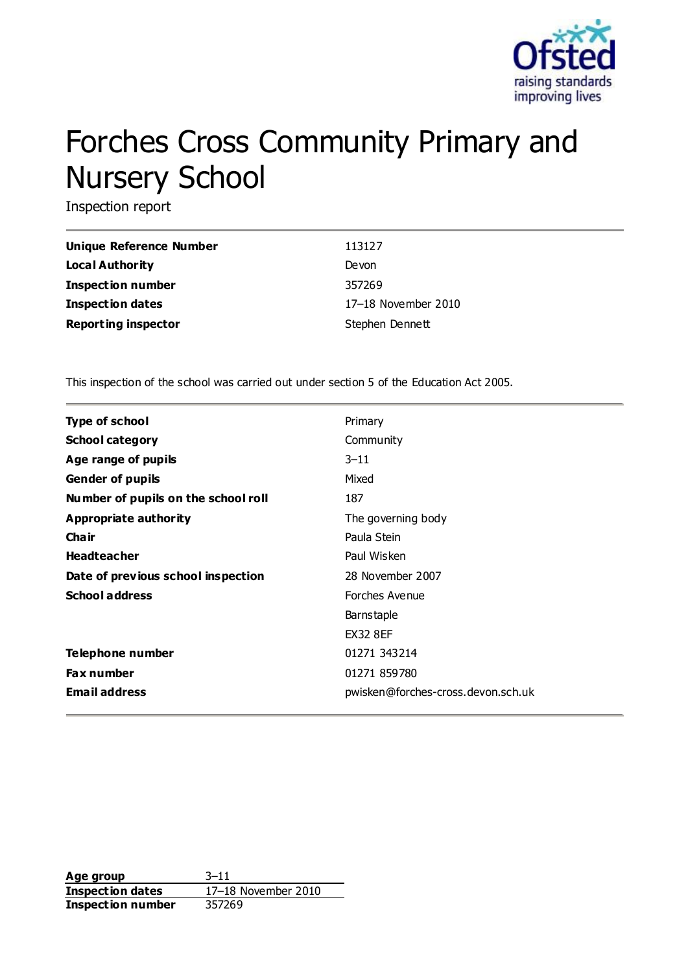

# Forches Cross Community Primary and Nursery School

Inspection report

| Unique Reference Number    | 113127              |
|----------------------------|---------------------|
| <b>Local Authority</b>     | Devon               |
| Inspection number          | 357269              |
| <b>Inspection dates</b>    | 17-18 November 2010 |
| <b>Reporting inspector</b> | Stephen Dennett     |

This inspection of the school was carried out under section 5 of the Education Act 2005.

| <b>Type of school</b>               | Primary                            |
|-------------------------------------|------------------------------------|
| <b>School category</b>              | Community                          |
| Age range of pupils                 | $3 - 11$                           |
| <b>Gender of pupils</b>             | Mixed                              |
| Number of pupils on the school roll | 187                                |
| Appropriate authority               | The governing body                 |
| Cha ir                              | Paula Stein                        |
| <b>Headteacher</b>                  | Paul Wisken                        |
| Date of previous school inspection  | 28 November 2007                   |
| <b>School address</b>               | Forches Avenue                     |
|                                     | <b>Barnstaple</b>                  |
|                                     | <b>EX32 8EF</b>                    |
| Telephone number                    | 01271 343214                       |
| <b>Fax number</b>                   | 01271 859780                       |
| <b>Email address</b>                | pwisken@forches-cross.devon.sch.uk |

**Age group** 3–11 **Inspection dates** 17–18 November 2010 **Inspection number** 357269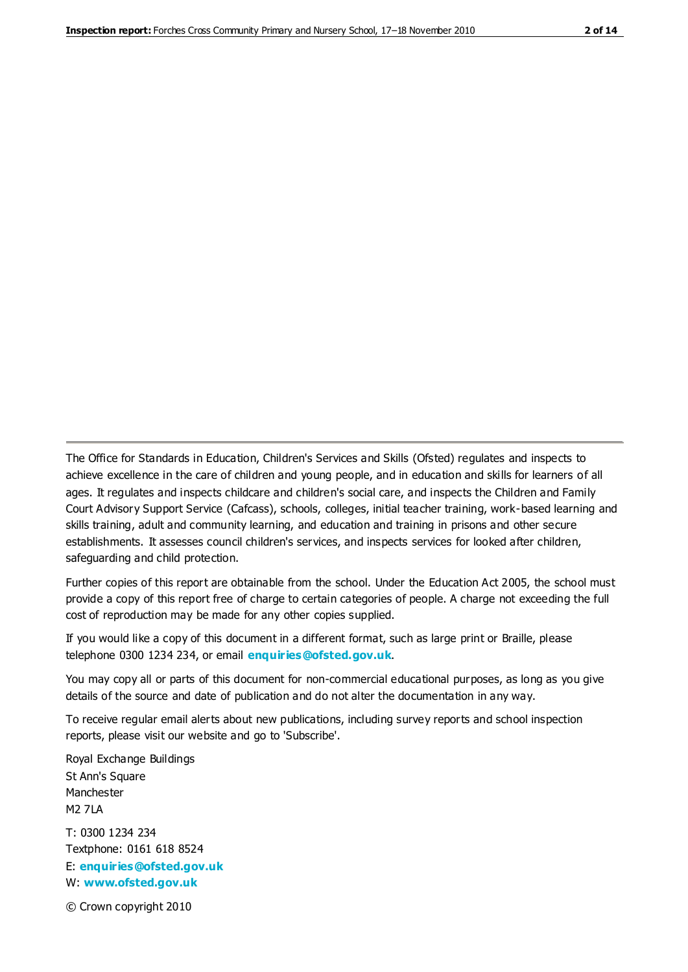The Office for Standards in Education, Children's Services and Skills (Ofsted) regulates and inspects to achieve excellence in the care of children and young people, and in education and skills for learners of all ages. It regulates and inspects childcare and children's social care, and inspects the Children and Family Court Advisory Support Service (Cafcass), schools, colleges, initial teacher training, work-based learning and skills training, adult and community learning, and education and training in prisons and other secure establishments. It assesses council children's services, and inspects services for looked after children, safeguarding and child protection.

Further copies of this report are obtainable from the school. Under the Education Act 2005, the school must provide a copy of this report free of charge to certain categories of people. A charge not exceeding the full cost of reproduction may be made for any other copies supplied.

If you would like a copy of this document in a different format, such as large print or Braille, please telephone 0300 1234 234, or email **[enquiries@ofsted.gov.uk](mailto:enquiries@ofsted.gov.uk)**.

You may copy all or parts of this document for non-commercial educational purposes, as long as you give details of the source and date of publication and do not alter the documentation in any way.

To receive regular email alerts about new publications, including survey reports and school inspection reports, please visit our website and go to 'Subscribe'.

Royal Exchange Buildings St Ann's Square Manchester M2 7LA T: 0300 1234 234 Textphone: 0161 618 8524 E: **[enquiries@ofsted.gov.uk](mailto:enquiries@ofsted.gov.uk)**

W: **[www.ofsted.gov.uk](http://www.ofsted.gov.uk/)**

© Crown copyright 2010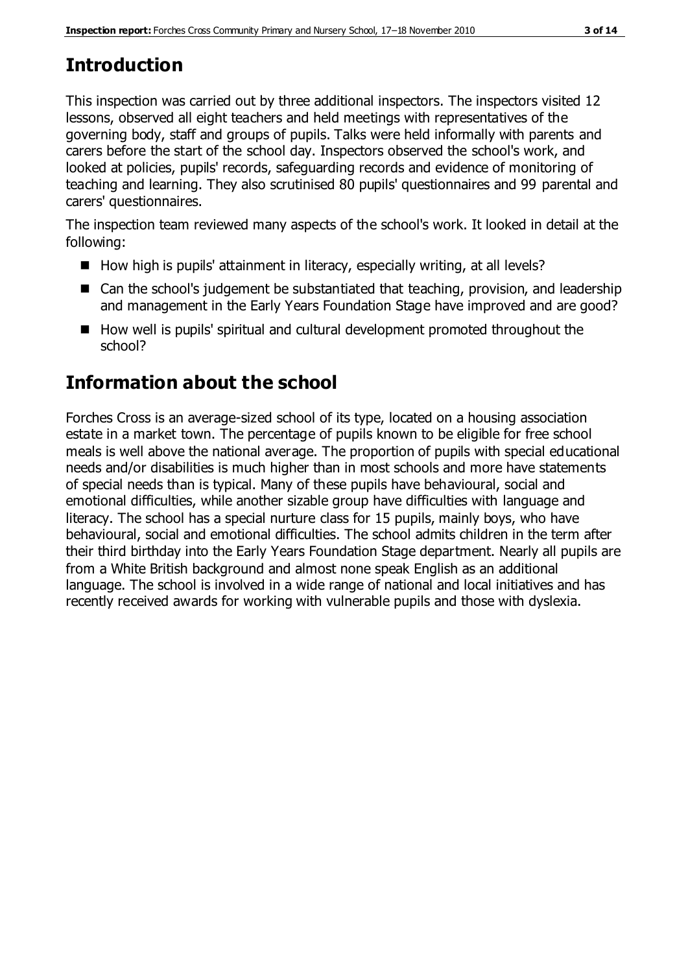# **Introduction**

This inspection was carried out by three additional inspectors. The inspectors visited 12 lessons, observed all eight teachers and held meetings with representatives of the governing body, staff and groups of pupils. Talks were held informally with parents and carers before the start of the school day. Inspectors observed the school's work, and looked at policies, pupils' records, safeguarding records and evidence of monitoring of teaching and learning. They also scrutinised 80 pupils' questionnaires and 99 parental and carers' questionnaires.

The inspection team reviewed many aspects of the school's work. It looked in detail at the following:

- $\blacksquare$  How high is pupils' attainment in literacy, especially writing, at all levels?
- Can the school's judgement be substantiated that teaching, provision, and leadership and management in the Early Years Foundation Stage have improved and are good?
- How well is pupils' spiritual and cultural development promoted throughout the school?

## **Information about the school**

Forches Cross is an average-sized school of its type, located on a housing association estate in a market town. The percentage of pupils known to be eligible for free school meals is well above the national average. The proportion of pupils with special educational needs and/or disabilities is much higher than in most schools and more have statements of special needs than is typical. Many of these pupils have behavioural, social and emotional difficulties, while another sizable group have difficulties with language and literacy. The school has a special nurture class for 15 pupils, mainly boys, who have behavioural, social and emotional difficulties. The school admits children in the term after their third birthday into the Early Years Foundation Stage department. Nearly all pupils are from a White British background and almost none speak English as an additional language. The school is involved in a wide range of national and local initiatives and has recently received awards for working with vulnerable pupils and those with dyslexia.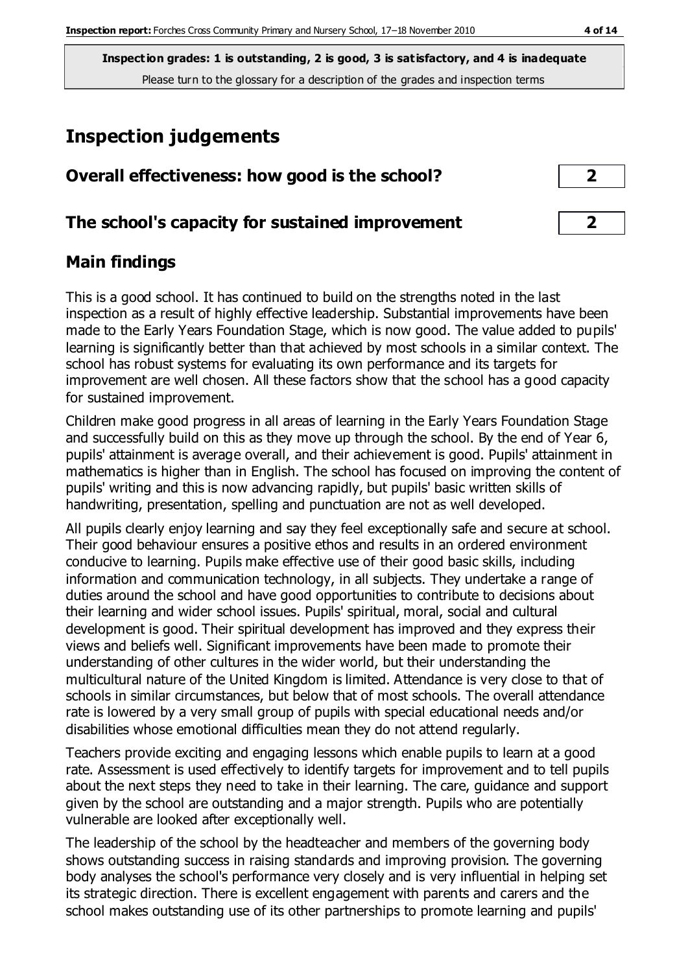# **Inspection judgements**

| Overall effectiveness: how good is the school?  | ∍              |
|-------------------------------------------------|----------------|
| The school's capacity for sustained improvement | $\overline{2}$ |

## **Main findings**

This is a good school. It has continued to build on the strengths noted in the last inspection as a result of highly effective leadership. Substantial improvements have been made to the Early Years Foundation Stage, which is now good. The value added to pupils' learning is significantly better than that achieved by most schools in a similar context. The school has robust systems for evaluating its own performance and its targets for improvement are well chosen. All these factors show that the school has a good capacity for sustained improvement.

Children make good progress in all areas of learning in the Early Years Foundation Stage and successfully build on this as they move up through the school. By the end of Year 6, pupils' attainment is average overall, and their achievement is good. Pupils' attainment in mathematics is higher than in English. The school has focused on improving the content of pupils' writing and this is now advancing rapidly, but pupils' basic written skills of handwriting, presentation, spelling and punctuation are not as well developed.

All pupils clearly enjoy learning and say they feel exceptionally safe and secure at school. Their good behaviour ensures a positive ethos and results in an ordered environment conducive to learning. Pupils make effective use of their good basic skills, including information and communication technology, in all subjects. They undertake a range of duties around the school and have good opportunities to contribute to decisions about their learning and wider school issues. Pupils' spiritual, moral, social and cultural development is good. Their spiritual development has improved and they express their views and beliefs well. Significant improvements have been made to promote their understanding of other cultures in the wider world, but their understanding the multicultural nature of the United Kingdom is limited. Attendance is very close to that of schools in similar circumstances, but below that of most schools. The overall attendance rate is lowered by a very small group of pupils with special educational needs and/or disabilities whose emotional difficulties mean they do not attend regularly.

Teachers provide exciting and engaging lessons which enable pupils to learn at a good rate. Assessment is used effectively to identify targets for improvement and to tell pupils about the next steps they need to take in their learning. The care, guidance and support given by the school are outstanding and a major strength. Pupils who are potentially vulnerable are looked after exceptionally well.

The leadership of the school by the headteacher and members of the governing body shows outstanding success in raising standards and improving provision. The governing body analyses the school's performance very closely and is very influential in helping set its strategic direction. There is excellent engagement with parents and carers and the school makes outstanding use of its other partnerships to promote learning and pupils'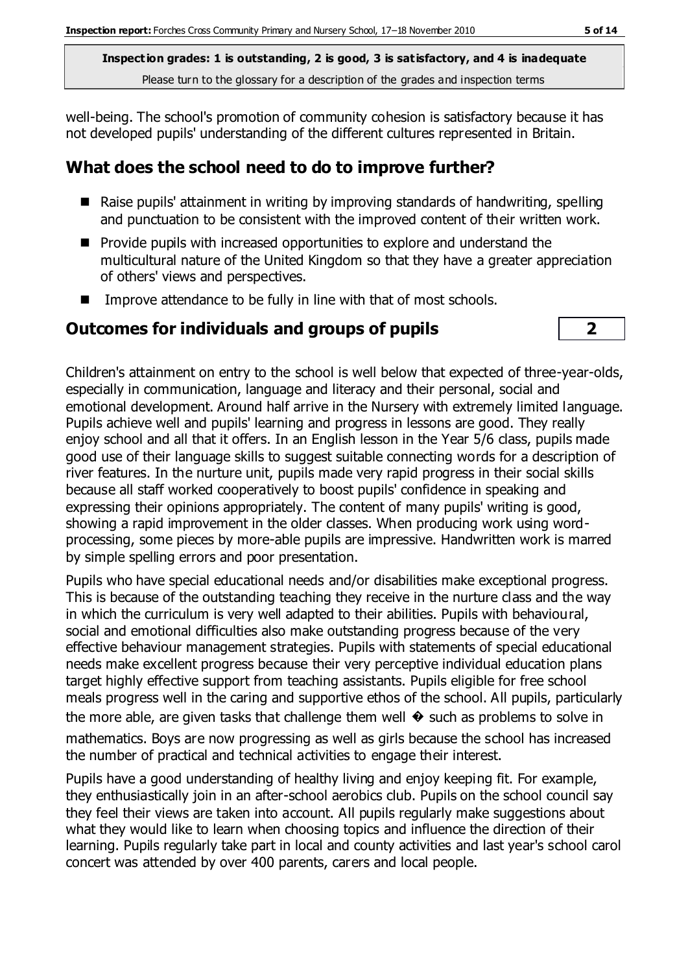well-being. The school's promotion of community cohesion is satisfactory because it has not developed pupils' understanding of the different cultures represented in Britain.

#### **What does the school need to do to improve further?**

- Raise pupils' attainment in writing by improving standards of handwriting, spelling and punctuation to be consistent with the improved content of their written work.
- **Provide pupils with increased opportunities to explore and understand the** multicultural nature of the United Kingdom so that they have a greater appreciation of others' views and perspectives.
- Improve attendance to be fully in line with that of most schools.

#### **Outcomes for individuals and groups of pupils 2**



Children's attainment on entry to the school is well below that expected of three-year-olds, especially in communication, language and literacy and their personal, social and emotional development. Around half arrive in the Nursery with extremely limited language. Pupils achieve well and pupils' learning and progress in lessons are good. They really enjoy school and all that it offers. In an English lesson in the Year 5/6 class, pupils made good use of their language skills to suggest suitable connecting words for a description of river features. In the nurture unit, pupils made very rapid progress in their social skills because all staff worked cooperatively to boost pupils' confidence in speaking and expressing their opinions appropriately. The content of many pupils' writing is good, showing a rapid improvement in the older classes. When producing work using wordprocessing, some pieces by more-able pupils are impressive. Handwritten work is marred by simple spelling errors and poor presentation.

Pupils who have special educational needs and/or disabilities make exceptional progress. This is because of the outstanding teaching they receive in the nurture class and the way in which the curriculum is very well adapted to their abilities. Pupils with behavioural, social and emotional difficulties also make outstanding progress because of the very effective behaviour management strategies. Pupils with statements of special educational needs make excellent progress because their very perceptive individual education plans target highly effective support from teaching assistants. Pupils eligible for free school meals progress well in the caring and supportive ethos of the school. All pupils, particularly the more able, are given tasks that challenge them well  $\diamondsuit$  such as problems to solve in mathematics. Boys are now progressing as well as girls because the school has increased the number of practical and technical activities to engage their interest.

Pupils have a good understanding of healthy living and enjoy keeping fit. For example, they enthusiastically join in an after-school aerobics club. Pupils on the school council say they feel their views are taken into account. All pupils regularly make suggestions about what they would like to learn when choosing topics and influence the direction of their learning. Pupils regularly take part in local and county activities and last year's school carol concert was attended by over 400 parents, carers and local people.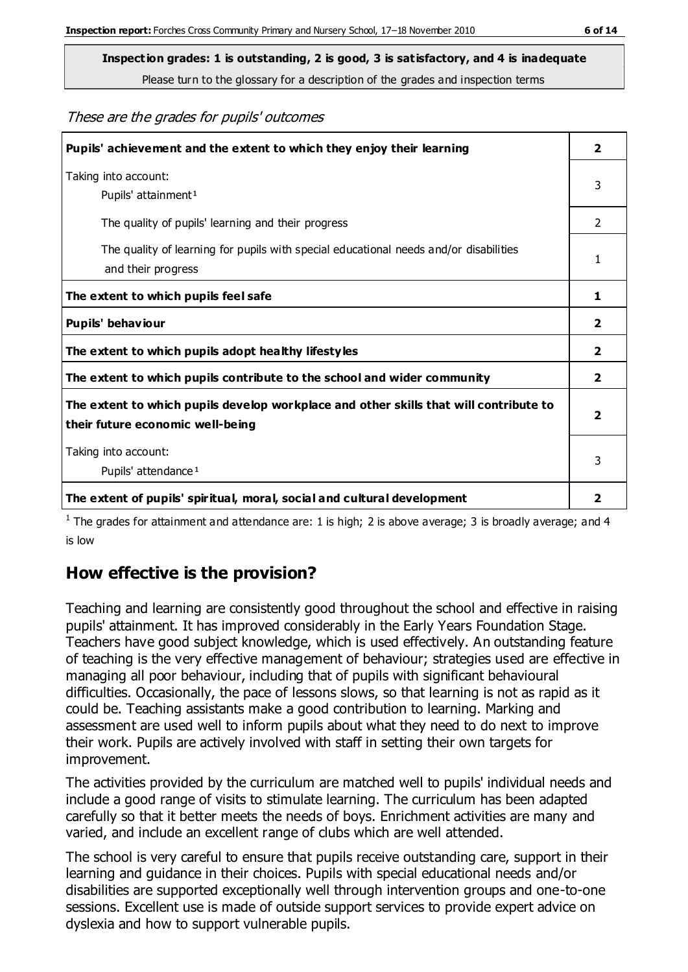These are the grades for pupils' outcomes

| Pupils' achievement and the extent to which they enjoy their learning                                                     | $\overline{2}$ |
|---------------------------------------------------------------------------------------------------------------------------|----------------|
| Taking into account:<br>Pupils' attainment <sup>1</sup>                                                                   |                |
| The quality of pupils' learning and their progress                                                                        | $\mathcal{P}$  |
| The quality of learning for pupils with special educational needs and/or disabilities<br>and their progress               |                |
| The extent to which pupils feel safe                                                                                      | 1              |
| Pupils' behaviour                                                                                                         | 2              |
| The extent to which pupils adopt healthy lifestyles                                                                       | 2              |
| The extent to which pupils contribute to the school and wider community                                                   |                |
| The extent to which pupils develop workplace and other skills that will contribute to<br>their future economic well-being |                |
| Taking into account:<br>Pupils' attendance <sup>1</sup>                                                                   |                |
| The extent of pupils' spiritual, moral, social and cultural development                                                   | 2              |

<sup>1</sup> The grades for attainment and attendance are: 1 is high; 2 is above average; 3 is broadly average; and 4 is low

## **How effective is the provision?**

Teaching and learning are consistently good throughout the school and effective in raising pupils' attainment. It has improved considerably in the Early Years Foundation Stage. Teachers have good subject knowledge, which is used effectively. An outstanding feature of teaching is the very effective management of behaviour; strategies used are effective in managing all poor behaviour, including that of pupils with significant behavioural difficulties. Occasionally, the pace of lessons slows, so that learning is not as rapid as it could be. Teaching assistants make a good contribution to learning. Marking and assessment are used well to inform pupils about what they need to do next to improve their work. Pupils are actively involved with staff in setting their own targets for improvement.

The activities provided by the curriculum are matched well to pupils' individual needs and include a good range of visits to stimulate learning. The curriculum has been adapted carefully so that it better meets the needs of boys. Enrichment activities are many and varied, and include an excellent range of clubs which are well attended.

The school is very careful to ensure that pupils receive outstanding care, support in their learning and guidance in their choices. Pupils with special educational needs and/or disabilities are supported exceptionally well through intervention groups and one-to-one sessions. Excellent use is made of outside support services to provide expert advice on dyslexia and how to support vulnerable pupils.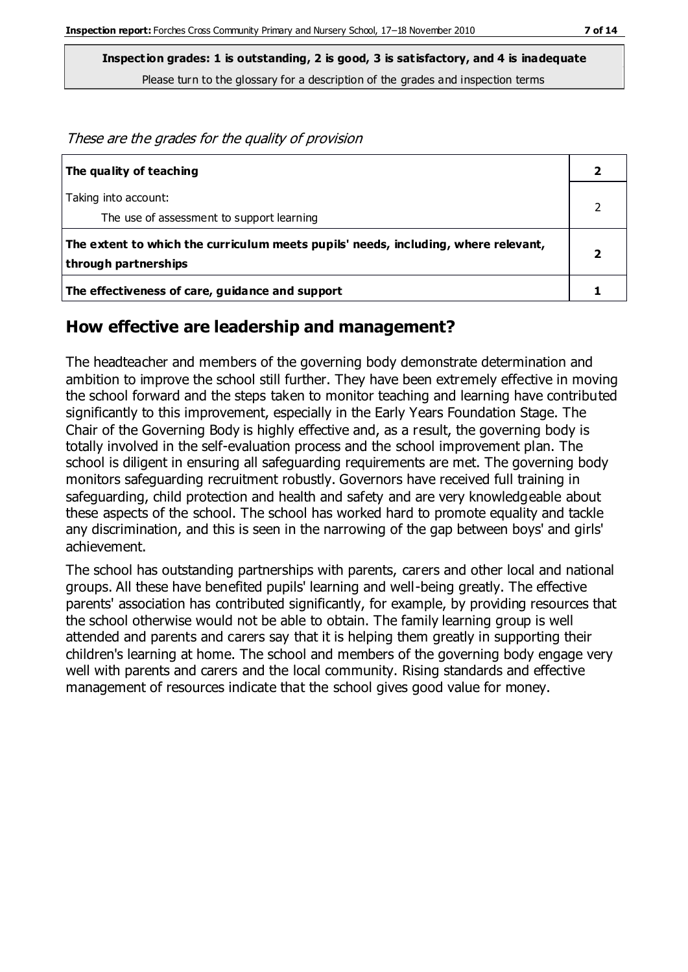These are the grades for the quality of provision **The quality of teaching 2** Taking into account: The use of assessment to support learning 2 **The extent to which the curriculum meets pupils' needs, including, where relevant, through partnerships 2 The effectiveness of care, guidance and support 1**

#### **How effective are leadership and management?**

The headteacher and members of the governing body demonstrate determination and ambition to improve the school still further. They have been extremely effective in moving the school forward and the steps taken to monitor teaching and learning have contributed significantly to this improvement, especially in the Early Years Foundation Stage. The Chair of the Governing Body is highly effective and, as a result, the governing body is totally involved in the self-evaluation process and the school improvement plan. The school is diligent in ensuring all safeguarding requirements are met. The governing body monitors safeguarding recruitment robustly. Governors have received full training in safeguarding, child protection and health and safety and are very knowledgeable about these aspects of the school. The school has worked hard to promote equality and tackle any discrimination, and this is seen in the narrowing of the gap between boys' and girls' achievement.

The school has outstanding partnerships with parents, carers and other local and national groups. All these have benefited pupils' learning and well-being greatly. The effective parents' association has contributed significantly, for example, by providing resources that the school otherwise would not be able to obtain. The family learning group is well attended and parents and carers say that it is helping them greatly in supporting their children's learning at home. The school and members of the governing body engage very well with parents and carers and the local community. Rising standards and effective management of resources indicate that the school gives good value for money.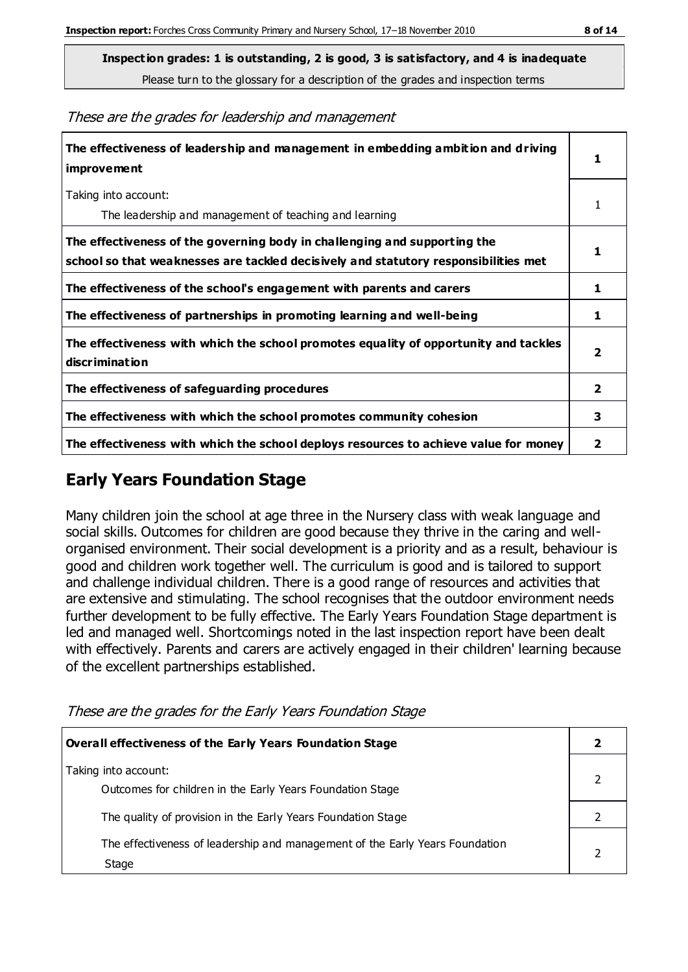**Inspection grades: 1 is outstanding, 2 is good, 3 is satisfactory, and 4 is inadequate**

Please turn to the glossary for a description of the grades and inspection terms

These are the grades for leadership and management

| The effectiveness of leadership and management in embedding ambition and driving<br>improvement                                                                  |                         |
|------------------------------------------------------------------------------------------------------------------------------------------------------------------|-------------------------|
| Taking into account:<br>The leadership and management of teaching and learning                                                                                   | 1                       |
| The effectiveness of the governing body in challenging and supporting the<br>school so that weaknesses are tackled decisively and statutory responsibilities met |                         |
| The effectiveness of the school's engagement with parents and carers                                                                                             | 1                       |
| The effectiveness of partnerships in promoting learning and well-being                                                                                           | 1                       |
| The effectiveness with which the school promotes equality of opportunity and tackles<br>discrimination                                                           | $\overline{\mathbf{2}}$ |
| The effectiveness of safeguarding procedures                                                                                                                     | $\overline{\mathbf{2}}$ |
| The effectiveness with which the school promotes community cohesion                                                                                              | 3                       |
| The effectiveness with which the school deploys resources to achieve value for money                                                                             | 2                       |

## **Early Years Foundation Stage**

Many children join the school at age three in the Nursery class with weak language and social skills. Outcomes for children are good because they thrive in the caring and wellorganised environment. Their social development is a priority and as a result, behaviour is good and children work together well. The curriculum is good and is tailored to support and challenge individual children. There is a good range of resources and activities that are extensive and stimulating. The school recognises that the outdoor environment needs further development to be fully effective. The Early Years Foundation Stage department is led and managed well. Shortcomings noted in the last inspection report have been dealt with effectively. Parents and carers are actively engaged in their children' learning because of the excellent partnerships established.

These are the grades for the Early Years Foundation Stage

| Overall effectiveness of the Early Years Foundation Stage                             |  |  |
|---------------------------------------------------------------------------------------|--|--|
| Taking into account:<br>Outcomes for children in the Early Years Foundation Stage     |  |  |
| The quality of provision in the Early Years Foundation Stage                          |  |  |
| The effectiveness of leadership and management of the Early Years Foundation<br>Stage |  |  |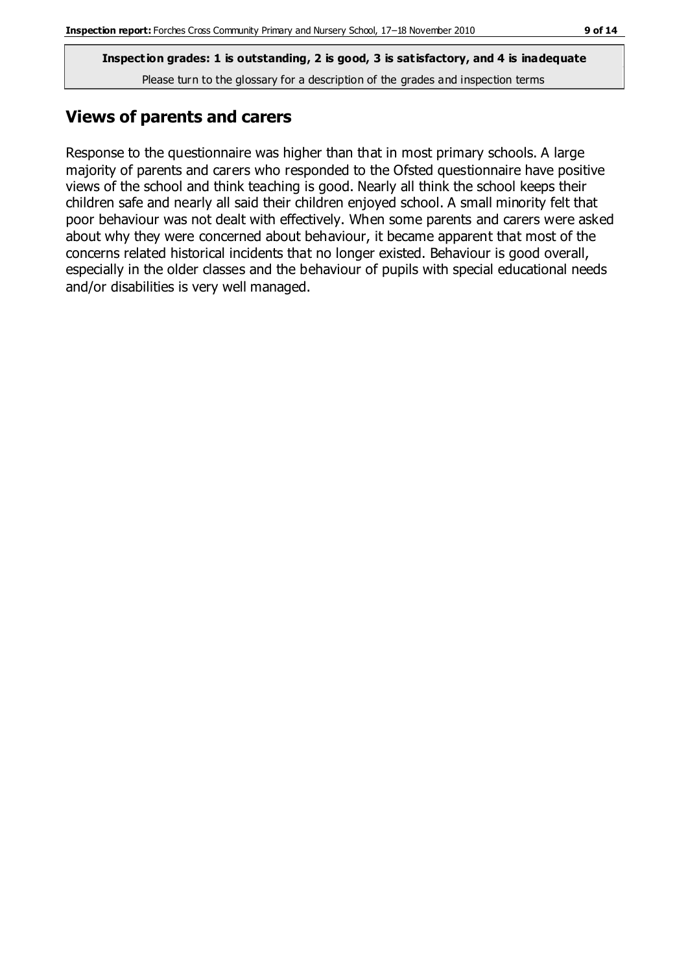## **Views of parents and carers**

Response to the questionnaire was higher than that in most primary schools. A large majority of parents and carers who responded to the Ofsted questionnaire have positive views of the school and think teaching is good. Nearly all think the school keeps their children safe and nearly all said their children enjoyed school. A small minority felt that poor behaviour was not dealt with effectively. When some parents and carers were asked about why they were concerned about behaviour, it became apparent that most of the concerns related historical incidents that no longer existed. Behaviour is good overall, especially in the older classes and the behaviour of pupils with special educational needs and/or disabilities is very well managed.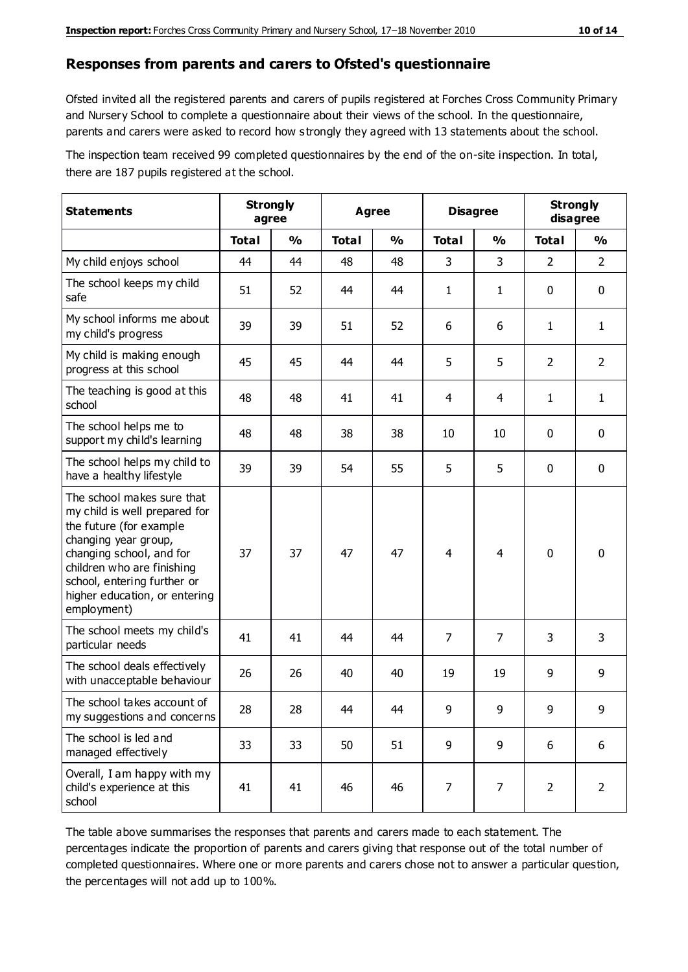#### **Responses from parents and carers to Ofsted's questionnaire**

Ofsted invited all the registered parents and carers of pupils registered at Forches Cross Community Primary and Nursery School to complete a questionnaire about their views of the school. In the questionnaire, parents and carers were asked to record how s trongly they agreed with 13 statements about the school.

The inspection team received 99 completed questionnaires by the end of the on-site inspection. In total, there are 187 pupils registered at the school.

| <b>Statements</b>                                                                                                                                                                                                                                       |              | <b>Strongly</b><br><b>Agree</b><br>agree |              |               | <b>Disagree</b> |                | <b>Strongly</b><br>disagree |                |
|---------------------------------------------------------------------------------------------------------------------------------------------------------------------------------------------------------------------------------------------------------|--------------|------------------------------------------|--------------|---------------|-----------------|----------------|-----------------------------|----------------|
|                                                                                                                                                                                                                                                         | <b>Total</b> | $\frac{0}{0}$                            | <b>Total</b> | $\frac{0}{0}$ | <b>Total</b>    | $\frac{0}{0}$  | <b>Total</b>                | %              |
| My child enjoys school                                                                                                                                                                                                                                  | 44           | 44                                       | 48           | 48            | 3               | 3              | $\overline{2}$              | $\overline{2}$ |
| The school keeps my child<br>safe                                                                                                                                                                                                                       | 51           | 52                                       | 44           | 44            | 1               | $\mathbf{1}$   | $\mathbf 0$                 | $\mathbf 0$    |
| My school informs me about<br>my child's progress                                                                                                                                                                                                       | 39           | 39                                       | 51           | 52            | 6               | 6              | 1                           | $\mathbf{1}$   |
| My child is making enough<br>progress at this school                                                                                                                                                                                                    | 45           | 45                                       | 44           | 44            | 5               | 5              | $\overline{2}$              | $\overline{2}$ |
| The teaching is good at this<br>school                                                                                                                                                                                                                  | 48           | 48                                       | 41           | 41            | 4               | $\overline{4}$ | 1                           | $\mathbf{1}$   |
| The school helps me to<br>support my child's learning                                                                                                                                                                                                   | 48           | 48                                       | 38           | 38            | 10              | 10             | $\mathbf 0$                 | $\mathbf 0$    |
| The school helps my child to<br>have a healthy lifestyle                                                                                                                                                                                                | 39           | 39                                       | 54           | 55            | 5               | 5              | $\mathbf 0$                 | $\mathbf 0$    |
| The school makes sure that<br>my child is well prepared for<br>the future (for example<br>changing year group,<br>changing school, and for<br>children who are finishing<br>school, entering further or<br>higher education, or entering<br>employment) | 37           | 37                                       | 47           | 47            | $\overline{4}$  | 4              | $\mathbf 0$                 | $\mathbf 0$    |
| The school meets my child's<br>particular needs                                                                                                                                                                                                         | 41           | 41                                       | 44           | 44            | $\overline{7}$  | $\overline{7}$ | 3                           | 3              |
| The school deals effectively<br>with unacceptable behaviour                                                                                                                                                                                             | 26           | 26                                       | 40           | 40            | 19              | 19             | 9                           | 9              |
| The school takes account of<br>my suggestions and concerns                                                                                                                                                                                              | 28           | 28                                       | 44           | 44            | 9               | 9              | 9                           | 9              |
| The school is led and<br>managed effectively                                                                                                                                                                                                            | 33           | 33                                       | 50           | 51            | 9               | 9              | 6                           | 6              |
| Overall, I am happy with my<br>child's experience at this<br>school                                                                                                                                                                                     | 41           | 41                                       | 46           | 46            | $\overline{7}$  | $\overline{7}$ | $\overline{2}$              | $\overline{2}$ |

The table above summarises the responses that parents and carers made to each statement. The percentages indicate the proportion of parents and carers giving that response out of the total number of completed questionnaires. Where one or more parents and carers chose not to answer a particular question, the percentages will not add up to 100%.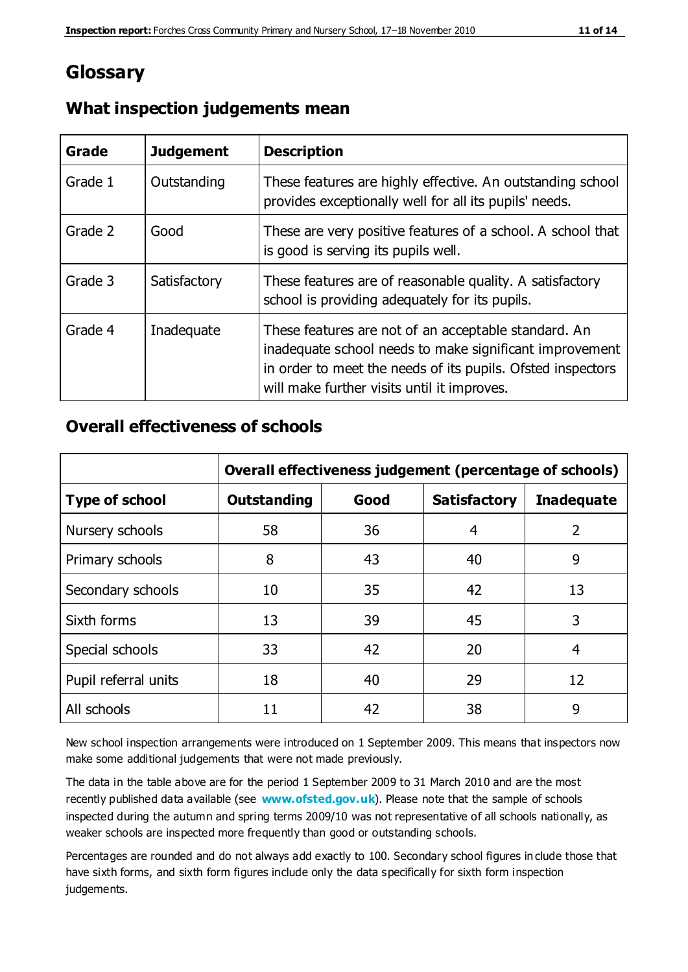## **Glossary**

| Grade   | <b>Judgement</b> | <b>Description</b>                                                                                                                                                                                                            |
|---------|------------------|-------------------------------------------------------------------------------------------------------------------------------------------------------------------------------------------------------------------------------|
| Grade 1 | Outstanding      | These features are highly effective. An outstanding school<br>provides exceptionally well for all its pupils' needs.                                                                                                          |
| Grade 2 | Good             | These are very positive features of a school. A school that<br>is good is serving its pupils well.                                                                                                                            |
| Grade 3 | Satisfactory     | These features are of reasonable quality. A satisfactory<br>school is providing adequately for its pupils.                                                                                                                    |
| Grade 4 | Inadequate       | These features are not of an acceptable standard. An<br>inadequate school needs to make significant improvement<br>in order to meet the needs of its pupils. Ofsted inspectors<br>will make further visits until it improves. |

#### **What inspection judgements mean**

#### **Overall effectiveness of schools**

|                       | Overall effectiveness judgement (percentage of schools) |      |                     |                   |
|-----------------------|---------------------------------------------------------|------|---------------------|-------------------|
| <b>Type of school</b> | <b>Outstanding</b>                                      | Good | <b>Satisfactory</b> | <b>Inadequate</b> |
| Nursery schools       | 58                                                      | 36   | 4                   | 2                 |
| Primary schools       | 8                                                       | 43   | 40                  | 9                 |
| Secondary schools     | 10                                                      | 35   | 42                  | 13                |
| Sixth forms           | 13                                                      | 39   | 45                  | 3                 |
| Special schools       | 33                                                      | 42   | 20                  | 4                 |
| Pupil referral units  | 18                                                      | 40   | 29                  | 12                |
| All schools           | 11                                                      | 42   | 38                  | 9                 |

New school inspection arrangements were introduced on 1 September 2009. This means that inspectors now make some additional judgements that were not made previously.

The data in the table above are for the period 1 September 2009 to 31 March 2010 and are the most recently published data available (see **[www.ofsted.gov.uk](http://www.ofsted.gov.uk/)**). Please note that the sample of schools inspected during the autumn and spring terms 2009/10 was not representative of all schools nationally, as weaker schools are inspected more frequently than good or outstanding schools.

Percentages are rounded and do not always add exactly to 100. Secondary school figures in clude those that have sixth forms, and sixth form figures include only the data specifically for sixth form inspection judgements.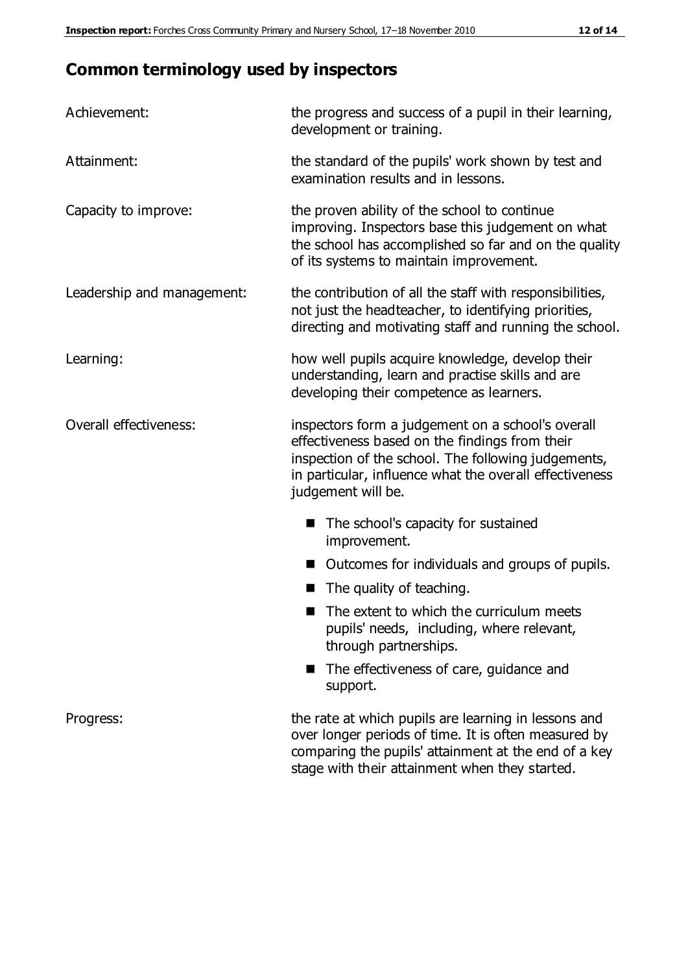## **Common terminology used by inspectors**

| Achievement:               | the progress and success of a pupil in their learning,<br>development or training.                                                                                                                                                          |
|----------------------------|---------------------------------------------------------------------------------------------------------------------------------------------------------------------------------------------------------------------------------------------|
| Attainment:                | the standard of the pupils' work shown by test and<br>examination results and in lessons.                                                                                                                                                   |
| Capacity to improve:       | the proven ability of the school to continue<br>improving. Inspectors base this judgement on what<br>the school has accomplished so far and on the quality<br>of its systems to maintain improvement.                                       |
| Leadership and management: | the contribution of all the staff with responsibilities,<br>not just the headteacher, to identifying priorities,<br>directing and motivating staff and running the school.                                                                  |
| Learning:                  | how well pupils acquire knowledge, develop their<br>understanding, learn and practise skills and are<br>developing their competence as learners.                                                                                            |
| Overall effectiveness:     | inspectors form a judgement on a school's overall<br>effectiveness based on the findings from their<br>inspection of the school. The following judgements,<br>in particular, influence what the overall effectiveness<br>judgement will be. |
|                            | The school's capacity for sustained<br>improvement.                                                                                                                                                                                         |
|                            | Outcomes for individuals and groups of pupils.                                                                                                                                                                                              |
|                            | The quality of teaching.                                                                                                                                                                                                                    |
|                            | The extent to which the curriculum meets<br>pupils' needs, including, where relevant,<br>through partnerships.                                                                                                                              |
|                            | The effectiveness of care, guidance and<br>support.                                                                                                                                                                                         |
| Progress:                  | the rate at which pupils are learning in lessons and<br>over longer periods of time. It is often measured by<br>comparing the pupils' attainment at the end of a key                                                                        |

stage with their attainment when they started.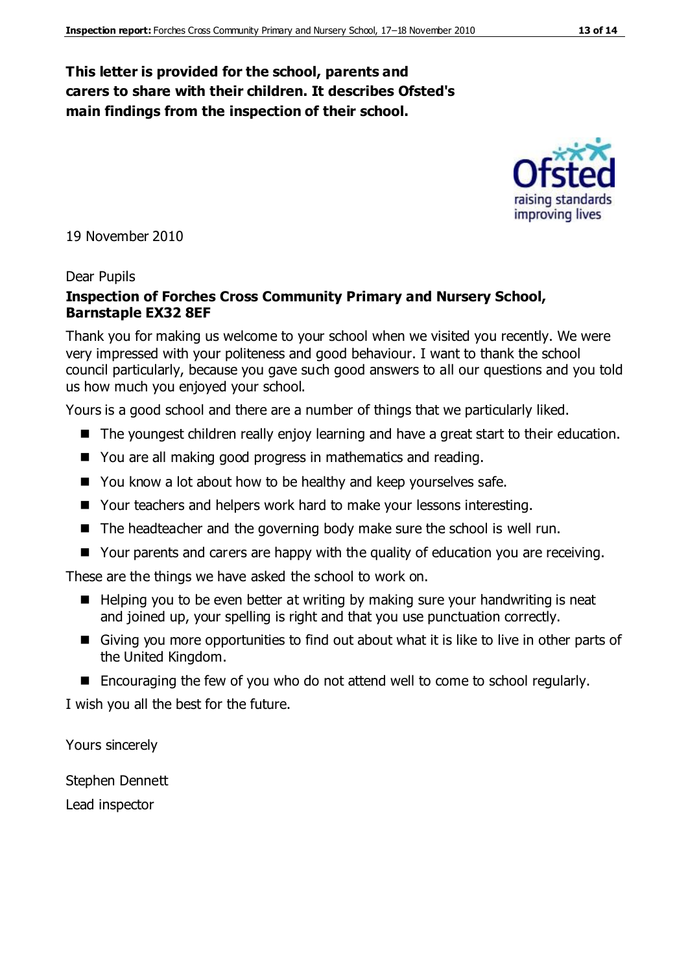#### **This letter is provided for the school, parents and carers to share with their children. It describes Ofsted's main findings from the inspection of their school.**

19 November 2010

#### Dear Pupils

#### **Inspection of Forches Cross Community Primary and Nursery School, Barnstaple EX32 8EF**

Thank you for making us welcome to your school when we visited you recently. We were very impressed with your politeness and good behaviour. I want to thank the school council particularly, because you gave such good answers to all our questions and you told us how much you enjoyed your school.

Yours is a good school and there are a number of things that we particularly liked.

- The youngest children really enjoy learning and have a great start to their education.
- You are all making good progress in mathematics and reading.
- You know a lot about how to be healthy and keep yourselves safe.
- Your teachers and helpers work hard to make your lessons interesting.
- $\blacksquare$  The headteacher and the governing body make sure the school is well run.
- Your parents and carers are happy with the quality of education you are receiving.

These are the things we have asked the school to work on.

- $\blacksquare$  Helping you to be even better at writing by making sure your handwriting is neat and joined up, your spelling is right and that you use punctuation correctly.
- Giving you more opportunities to find out about what it is like to live in other parts of the United Kingdom.
- Encouraging the few of you who do not attend well to come to school regularly.

I wish you all the best for the future.

Yours sincerely

Stephen Dennett

Lead inspector